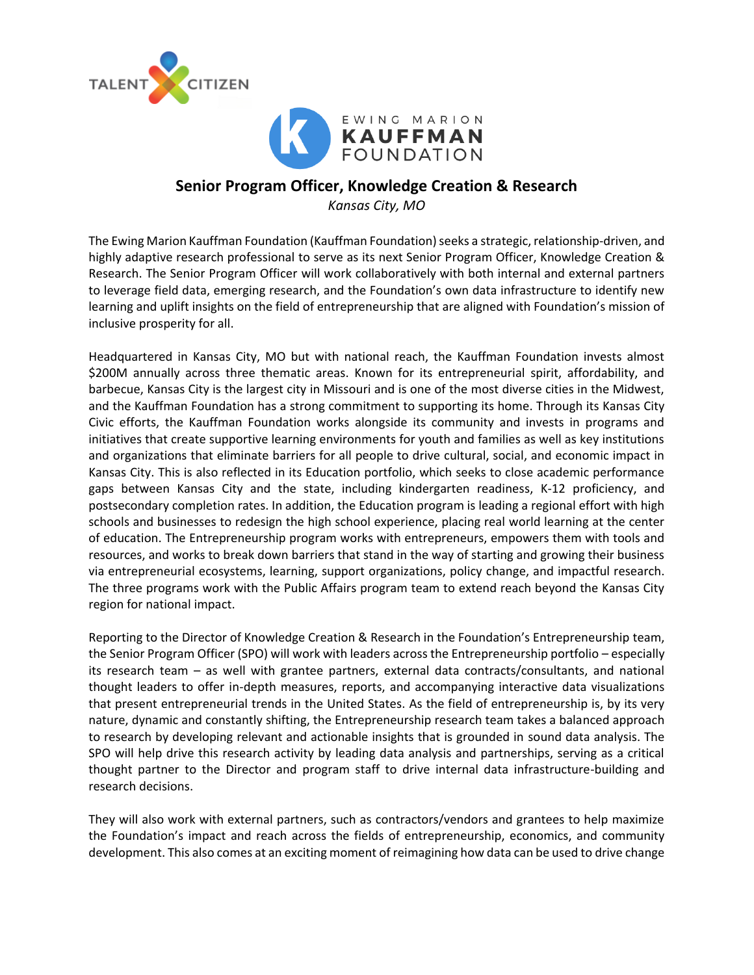



# **Senior Program Officer, Knowledge Creation & Research**

*Kansas City, MO*

The Ewing Marion Kauffman Foundation (Kauffman Foundation) seeks a strategic, relationship-driven, and highly adaptive research professional to serve as its next Senior Program Officer, Knowledge Creation & Research. The Senior Program Officer will work collaboratively with both internal and external partners to leverage field data, emerging research, and the Foundation's own data infrastructure to identify new learning and uplift insights on the field of entrepreneurship that are aligned with Foundation's mission of inclusive prosperity for all.

Headquartered in Kansas City, MO but with national reach, the Kauffman Foundation invests almost \$200M annually across three thematic areas. Known for its entrepreneurial spirit, affordability, and barbecue, Kansas City is the largest city in Missouri and is one of the most diverse cities in the Midwest, and the Kauffman Foundation has a strong commitment to supporting its home. Through its Kansas City Civic efforts, the Kauffman Foundation works alongside its community and invests in programs and initiatives that create supportive learning environments for youth and families as well as key institutions and organizations that eliminate barriers for all people to drive cultural, social, and economic impact in Kansas City. This is also reflected in its Education portfolio, which seeks to close academic performance gaps between Kansas City and the state, including kindergarten readiness, K-12 proficiency, and postsecondary completion rates. In addition, the Education program is leading a regional effort with high schools and businesses to redesign the high school experience, placing real world learning at the center of education. The Entrepreneurship program works with entrepreneurs, empowers them with tools and resources, and works to break down barriers that stand in the way of starting and growing their business via entrepreneurial ecosystems, learning, support organizations, policy change, and impactful research. The three programs work with the Public Affairs program team to extend reach beyond the Kansas City region for national impact.

Reporting to the Director of Knowledge Creation & Research in the Foundation's Entrepreneurship team, the Senior Program Officer (SPO) will work with leaders across the Entrepreneurship portfolio – especially its research team – as well with grantee partners, external data contracts/consultants, and national thought leaders to offer in-depth measures, reports, and accompanying interactive data visualizations that present entrepreneurial trends in the United States. As the field of entrepreneurship is, by its very nature, dynamic and constantly shifting, the Entrepreneurship research team takes a balanced approach to research by developing relevant and actionable insights that is grounded in sound data analysis. The SPO will help drive this research activity by leading data analysis and partnerships, serving as a critical thought partner to the Director and program staff to drive internal data infrastructure-building and research decisions.

They will also work with external partners, such as contractors/vendors and grantees to help maximize the Foundation's impact and reach across the fields of entrepreneurship, economics, and community development. This also comes at an exciting moment of reimagining how data can be used to drive change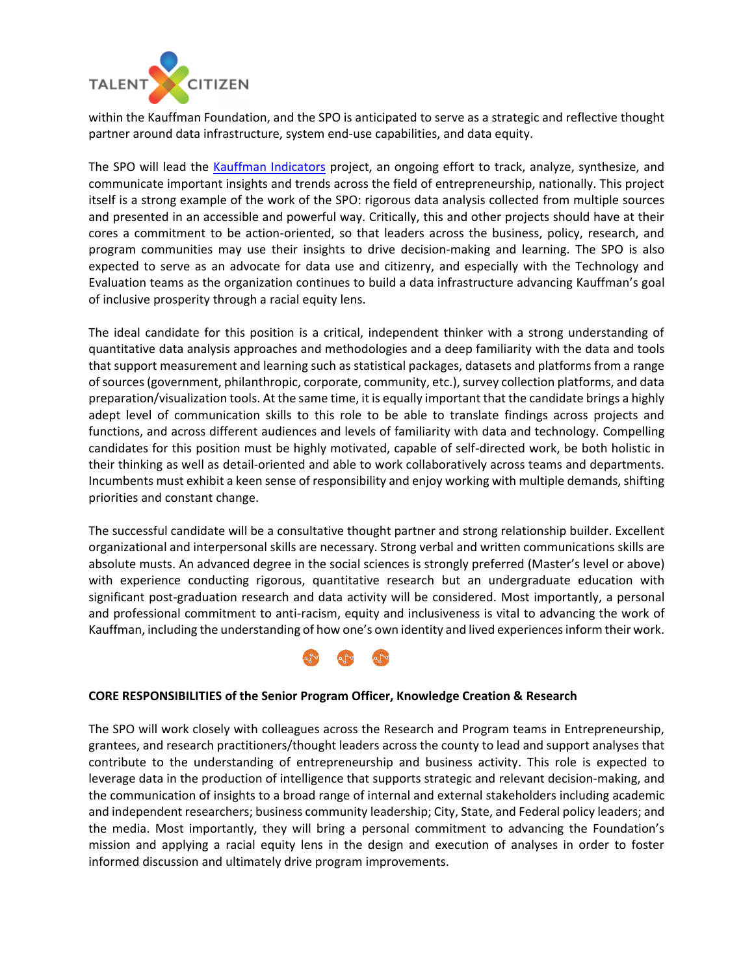

within the Kauffman Foundation, and the SPO is anticipated to serve as a strategic and reflective thought partner around data infrastructure, system end-use capabilities, and data equity.

The SPO will lead the [Kauffman Indicators](https://indicators.kauffman.org/) project, an ongoing effort to track, analyze, synthesize, and communicate important insights and trends across the field of entrepreneurship, nationally. This project itself is a strong example of the work of the SPO: rigorous data analysis collected from multiple sources and presented in an accessible and powerful way. Critically, this and other projects should have at their cores a commitment to be action-oriented, so that leaders across the business, policy, research, and program communities may use their insights to drive decision-making and learning. The SPO is also expected to serve as an advocate for data use and citizenry, and especially with the Technology and Evaluation teams as the organization continues to build a data infrastructure advancing Kauffman's goal of inclusive prosperity through a racial equity lens.

The ideal candidate for this position is a critical, independent thinker with a strong understanding of quantitative data analysis approaches and methodologies and a deep familiarity with the data and tools that support measurement and learning such as statistical packages, datasets and platforms from a range of sources (government, philanthropic, corporate, community, etc.), survey collection platforms, and data preparation/visualization tools. At the same time, it is equally important that the candidate brings a highly adept level of communication skills to this role to be able to translate findings across projects and functions, and across different audiences and levels of familiarity with data and technology. Compelling candidates for this position must be highly motivated, capable of self-directed work, be both holistic in their thinking as well as detail-oriented and able to work collaboratively across teams and departments. Incumbents must exhibit a keen sense of responsibility and enjoy working with multiple demands, shifting priorities and constant change.

The successful candidate will be a consultative thought partner and strong relationship builder. Excellent organizational and interpersonal skills are necessary. Strong verbal and written communications skills are absolute musts. An advanced degree in the social sciences is strongly preferred (Master's level or above) with experience conducting rigorous, quantitative research but an undergraduate education with significant post-graduation research and data activity will be considered. Most importantly, a personal and professional commitment to anti-racism, equity and inclusiveness is vital to advancing the work of Kauffman, including the understanding of how one's own identity and lived experiences inform their work.



#### **CORE RESPONSIBILITIES of the Senior Program Officer, Knowledge Creation & Research**

The SPO will work closely with colleagues across the Research and Program teams in Entrepreneurship, grantees, and research practitioners/thought leaders across the county to lead and support analyses that contribute to the understanding of entrepreneurship and business activity. This role is expected to leverage data in the production of intelligence that supports strategic and relevant decision-making, and the communication of insights to a broad range of internal and external stakeholders including academic and independent researchers; business community leadership; City, State, and Federal policy leaders; and the media. Most importantly, they will bring a personal commitment to advancing the Foundation's mission and applying a racial equity lens in the design and execution of analyses in order to foster informed discussion and ultimately drive program improvements.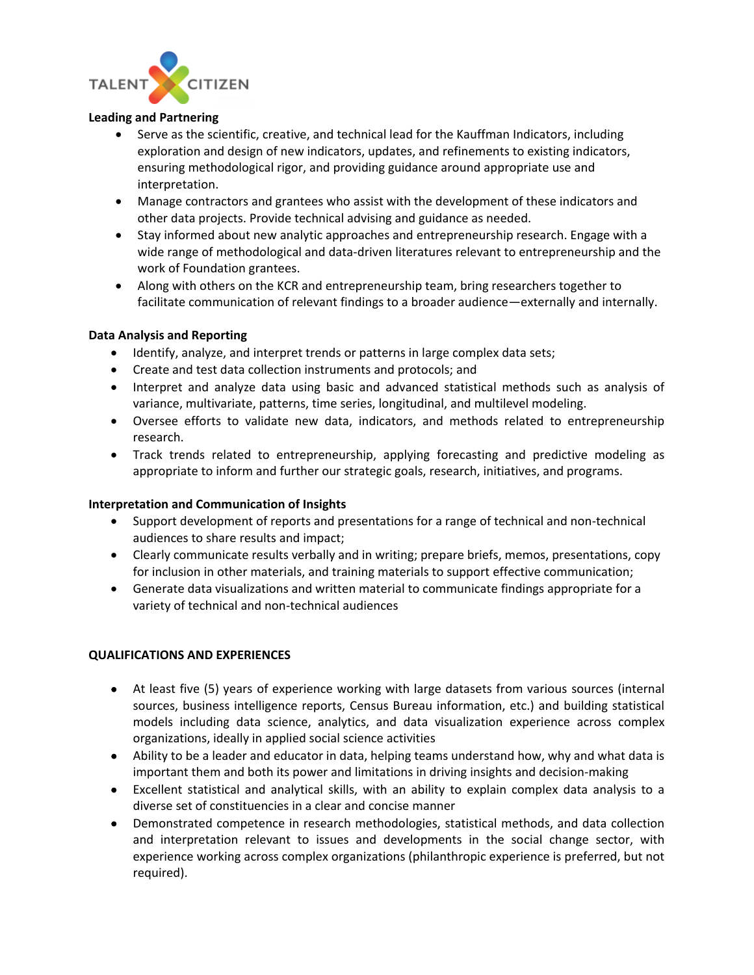

### **Leading and Partnering**

- Serve as the scientific, creative, and technical lead for the Kauffman Indicators, including exploration and design of new indicators, updates, and refinements to existing indicators, ensuring methodological rigor, and providing guidance around appropriate use and interpretation.
- Manage contractors and grantees who assist with the development of these indicators and other data projects. Provide technical advising and guidance as needed.
- Stay informed about new analytic approaches and entrepreneurship research. Engage with a wide range of methodological and data-driven literatures relevant to entrepreneurship and the work of Foundation grantees.
- Along with others on the KCR and entrepreneurship team, bring researchers together to facilitate communication of relevant findings to a broader audience—externally and internally.

### **Data Analysis and Reporting**

- Identify, analyze, and interpret trends or patterns in large complex data sets;
- Create and test data collection instruments and protocols; and
- Interpret and analyze data using basic and advanced statistical methods such as analysis of variance, multivariate, patterns, time series, longitudinal, and multilevel modeling.
- Oversee efforts to validate new data, indicators, and methods related to entrepreneurship research.
- Track trends related to entrepreneurship, applying forecasting and predictive modeling as appropriate to inform and further our strategic goals, research, initiatives, and programs.

## **Interpretation and Communication of Insights**

- Support development of reports and presentations for a range of technical and non-technical audiences to share results and impact;
- Clearly communicate results verbally and in writing; prepare briefs, memos, presentations, copy for inclusion in other materials, and training materials to support effective communication;
- Generate data visualizations and written material to communicate findings appropriate for a variety of technical and non-technical audiences

## **QUALIFICATIONS AND EXPERIENCES**

- At least five (5) years of experience working with large datasets from various sources (internal sources, business intelligence reports, Census Bureau information, etc.) and building statistical models including data science, analytics, and data visualization experience across complex organizations, ideally in applied social science activities
- Ability to be a leader and educator in data, helping teams understand how, why and what data is important them and both its power and limitations in driving insights and decision-making
- Excellent statistical and analytical skills, with an ability to explain complex data analysis to a diverse set of constituencies in a clear and concise manner
- Demonstrated competence in research methodologies, statistical methods, and data collection and interpretation relevant to issues and developments in the social change sector, with experience working across complex organizations (philanthropic experience is preferred, but not required).